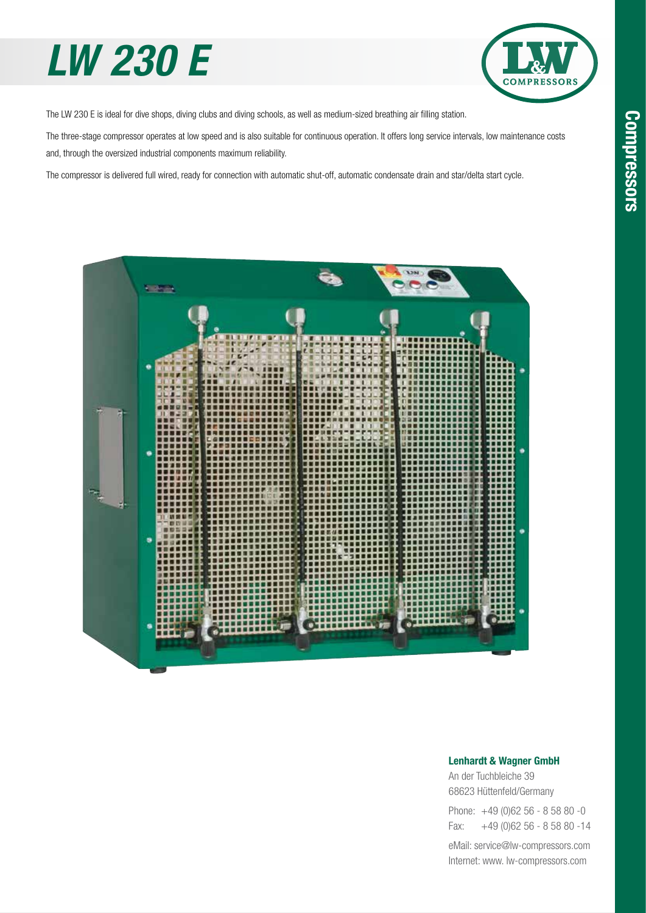## *LW 230 E*



The LW 230 E is ideal for dive shops, diving clubs and diving schools, as well as medium-sized breathing air filling station.

The three-stage compressor operates at low speed and is also suitable for continuous operation. It offers long service intervals, low maintenance costs and, through the oversized industrial components maximum reliability.

The compressor is delivered full wired, ready for connection with automatic shut-off, automatic condensate drain and star/delta start cycle.



#### Lenhardt & Wagner GmbH

An der Tuchbleiche 39 68623 Hüttenfeld / Germany Hüttenfeld/Germany

Phone: +49 (0)62 56 - 8 58 80 -0 Fax: +49 (0)62 56 - 8 58 80 -14 +49 (0)62 56 - 8 58 80 -14

eMail: service@lw-compressors.com Internet: www. lw-compressors.com